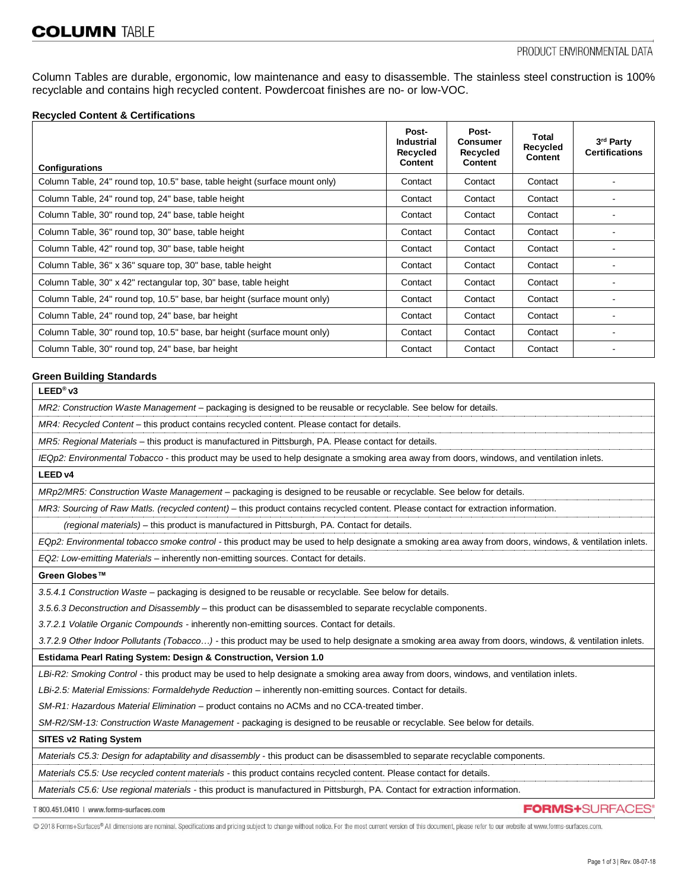Column Tables are durable, ergonomic, low maintenance and easy to disassemble. The stainless steel construction is 100% recyclable and contains high recycled content. Powdercoat finishes are no- or low-VOC.

### **Recycled Content & Certifications**

| <b>Configurations</b>                                                      | Post-<br><b>Industrial</b><br><b>Recycled</b><br><b>Content</b> | Post-<br><b>Consumer</b><br>Recycled<br><b>Content</b> | Total<br>Recycled<br><b>Content</b> | 3rd Party<br><b>Certifications</b> |
|----------------------------------------------------------------------------|-----------------------------------------------------------------|--------------------------------------------------------|-------------------------------------|------------------------------------|
| Column Table, 24" round top, 10.5" base, table height (surface mount only) | Contact                                                         | Contact                                                | Contact                             |                                    |
| Column Table, 24" round top, 24" base, table height                        | Contact                                                         | Contact                                                | Contact                             |                                    |
| Column Table, 30" round top, 24" base, table height                        | Contact                                                         | Contact                                                | Contact                             |                                    |
| Column Table, 36" round top, 30" base, table height                        | Contact                                                         | Contact                                                | Contact                             |                                    |
| Column Table, 42" round top, 30" base, table height                        | Contact                                                         | Contact                                                | Contact                             |                                    |
| Column Table, 36" x 36" square top, 30" base, table height                 | Contact                                                         | Contact                                                | Contact                             |                                    |
| Column Table, 30" x 42" rectangular top, 30" base, table height            | Contact                                                         | Contact                                                | Contact                             |                                    |
| Column Table, 24" round top, 10.5" base, bar height (surface mount only)   | Contact                                                         | Contact                                                | Contact                             |                                    |
| Column Table, 24" round top, 24" base, bar height                          |                                                                 | Contact                                                | Contact                             |                                    |
| Column Table, 30" round top, 10.5" base, bar height (surface mount only)   | Contact                                                         | Contact                                                | Contact                             |                                    |
| Column Table, 30" round top, 24" base, bar height                          | Contact                                                         | Contact                                                | Contact                             |                                    |

### **Green Building Standards**

**LEED® v3**

*MR2: Construction Waste Management –* packaging is designed to be reusable or recyclable. See below for details.

*MR4: Recycled Content* – this product contains recycled content. Please contact for details.

*MR5: Regional Materials* – this product is manufactured in Pittsburgh, PA. Please contact for details.

*IEQp2: Environmental Tobacco* - this product may be used to help designate a smoking area away from doors, windows, and ventilation inlets.

### **LEED v4**

*MRp2/MR5: Construction Waste Management –* packaging is designed to be reusable or recyclable. See below for details.

*MR3: Sourcing of Raw Matls. (recycled content) –* this product contains recycled content. Please contact for extraction information.

 *(regional materials)* – this product is manufactured in Pittsburgh, PA. Contact for details.

*EQp2: Environmental tobacco smoke control -* this product may be used to help designate a smoking area away from doors, windows, & ventilation inlets. *EQ2: Low-emitting Materials –* inherently non-emitting sources. Contact for details.

**Green Globes™**

*3.5.4.1 Construction Waste* – packaging is designed to be reusable or recyclable. See below for details.

*3.5.6.3 Deconstruction and Disassembly –* this product can be disassembled to separate recyclable components.

*3.7.2.1 Volatile Organic Compounds -* inherently non-emitting sources. Contact for details.

*3.7.2.9 Other Indoor Pollutants (Tobacco…) -* this product may be used to help designate a smoking area away from doors, windows, & ventilation inlets.

#### **Estidama Pearl Rating System: Design & Construction, Version 1.0**

*LBi-R2: Smoking Control -* this product may be used to help designate a smoking area away from doors, windows, and ventilation inlets.

*LBi-2.5: Material Emissions: Formaldehyde Reduction –* inherently non-emitting sources. Contact for details.

*SM-R1: Hazardous Material Elimination –* product contains no ACMs and no CCA-treated timber.

*SM-R2/SM-13: Construction Waste Management -* packaging is designed to be reusable or recyclable. See below for details.

#### **SITES v2 Rating System**

*Materials C5.3: Design for adaptability and disassembly* - this product can be disassembled to separate recyclable components.

*Materials C5.5: Use recycled content materials -* this product contains recycled content. Please contact for details.

*Materials C5.6: Use regional materials -* this product is manufactured in Pittsburgh, PA. Contact for extraction information.

T 800.451.0410 | www.forms-surfaces.com

© 2018 Forms+Surfaces® All dimensions are nominal. Specifications and pricing subject to change without notice. For the most current version of this document, please refer to our website at www.forms-surfaces.com.

**FORMS+SURFACES®**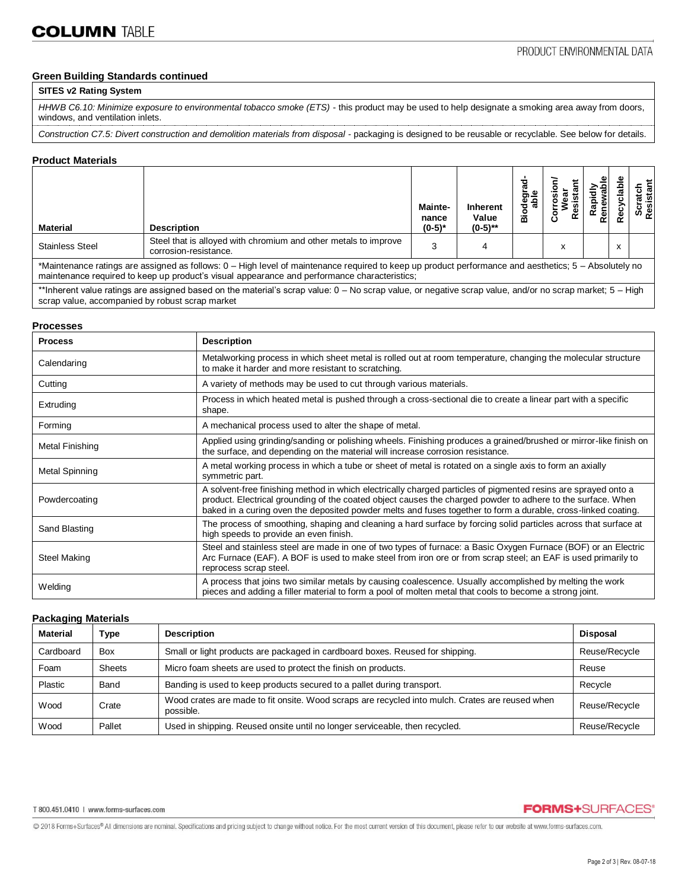# **Green Building Standards continued**

# **SITES v2 Rating System**

*HHWB C6.10: Minimize exposure to environmental tobacco smoke (ETS)* - this product may be used to help designate a smoking area away from doors, windows, and ventilation inlets.

*Construction C7.5: Divert construction and demolition materials from disposal -* packaging is designed to be reusable or recyclable. See below for details.

### **Product Materials**

| <b>Material</b>                                                                                                                                                                                                                                       | <b>Description</b>                                                                       | Mainte-<br>nance<br>$(0-5)*$ | <b>Inherent</b><br>Value<br>$(0-5)$ ** | Ō<br>۰<br>m | ပ | ၕ<br>Ren<br>œ | ۹è | Scratch<br>Resistant |
|-------------------------------------------------------------------------------------------------------------------------------------------------------------------------------------------------------------------------------------------------------|------------------------------------------------------------------------------------------|------------------------------|----------------------------------------|-------------|---|---------------|----|----------------------|
| <b>Stainless Steel</b>                                                                                                                                                                                                                                | Steel that is alloyed with chromium and other metals to improve<br>corrosion-resistance. | 2                            |                                        |             | x |               | x  |                      |
| *Maintenance ratings are assigned as follows: 0 – High level of maintenance required to keep up product performance and aesthetics; 5 – Absolutely no<br>maintenance required to keep up product's visual appearance and performance characteristics; |                                                                                          |                              |                                        |             |   |               |    |                      |
| **Inherent value ratings are assigned based on the material's scrap value: 0 – No scrap value, or negative scrap value, and/or no scrap market; 5 – High<br>scrap value, accompanied by robust scrap market                                           |                                                                                          |                              |                                        |             |   |               |    |                      |

#### **Processes**

| <b>Process</b>  | <b>Description</b>                                                                                                                                                                                                                                                                                                                             |
|-----------------|------------------------------------------------------------------------------------------------------------------------------------------------------------------------------------------------------------------------------------------------------------------------------------------------------------------------------------------------|
| Calendaring     | Metalworking process in which sheet metal is rolled out at room temperature, changing the molecular structure<br>to make it harder and more resistant to scratching.                                                                                                                                                                           |
| Cutting         | A variety of methods may be used to cut through various materials.                                                                                                                                                                                                                                                                             |
| Extruding       | Process in which heated metal is pushed through a cross-sectional die to create a linear part with a specific<br>shape.                                                                                                                                                                                                                        |
| Forming         | A mechanical process used to alter the shape of metal.                                                                                                                                                                                                                                                                                         |
| Metal Finishing | Applied using grinding/sanding or polishing wheels. Finishing produces a grained/brushed or mirror-like finish on<br>the surface, and depending on the material will increase corrosion resistance.                                                                                                                                            |
| Metal Spinning  | A metal working process in which a tube or sheet of metal is rotated on a single axis to form an axially<br>symmetric part.                                                                                                                                                                                                                    |
| Powdercoating   | A solvent-free finishing method in which electrically charged particles of pigmented resins are sprayed onto a<br>product. Electrical grounding of the coated object causes the charged powder to adhere to the surface. When<br>baked in a curing oven the deposited powder melts and fuses together to form a durable, cross-linked coating. |
| Sand Blasting   | The process of smoothing, shaping and cleaning a hard surface by forcing solid particles across that surface at<br>high speeds to provide an even finish.                                                                                                                                                                                      |
| Steel Making    | Steel and stainless steel are made in one of two types of furnace: a Basic Oxygen Furnace (BOF) or an Electric<br>Arc Furnace (EAF). A BOF is used to make steel from iron ore or from scrap steel; an EAF is used primarily to<br>reprocess scrap steel.                                                                                      |
| Welding         | A process that joins two similar metals by causing coalescence. Usually accomplished by melting the work<br>pieces and adding a filler material to form a pool of molten metal that cools to become a strong joint.                                                                                                                            |

# **Packaging Materials**

| <b>Material</b> | Type       | <b>Description</b>                                                                                           | <b>Disposal</b> |
|-----------------|------------|--------------------------------------------------------------------------------------------------------------|-----------------|
| Cardboard       | <b>Box</b> | Small or light products are packaged in cardboard boxes. Reused for shipping.                                | Reuse/Recycle   |
| Foam            | Sheets     | Micro foam sheets are used to protect the finish on products.                                                | Reuse           |
| <b>Plastic</b>  | Band       | Banding is used to keep products secured to a pallet during transport.                                       | Recycle         |
| Wood            | Crate      | Wood crates are made to fit onsite. Wood scraps are recycled into mulch. Crates are reused when<br>possible. | Reuse/Recycle   |
| Wood            | Pallet     | Used in shipping. Reused onsite until no longer serviceable, then recycled.                                  | Reuse/Recycle   |

**FORMS+SURFACES®** 

@ 2018 Forms+Surfaces® All dimensions are nominal. Specifications and pricing subject to change without notice. For the most current version of this document, please refer to our website at www.forms-surfaces.com.